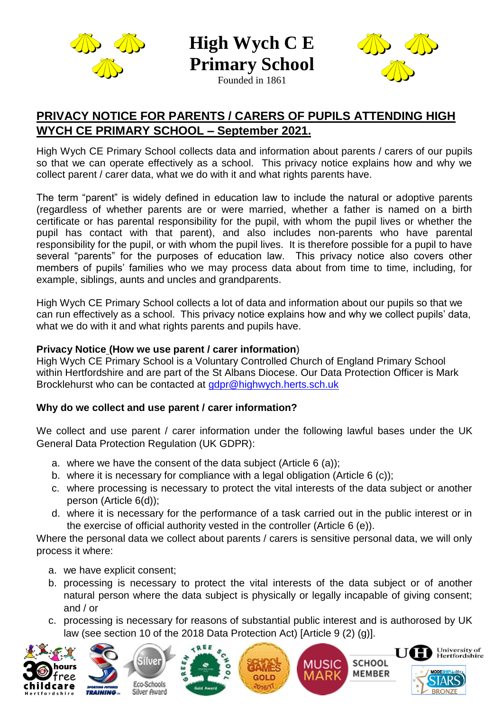

**High Wych C E Primary School**

Founded in 1861



# **PRIVACY NOTICE FOR PARENTS / CARERS OF PUPILS ATTENDING HIGH WYCH CE PRIMARY SCHOOL – September 2021.**

High Wych CE Primary School collects data and information about parents / carers of our pupils so that we can operate effectively as a school. This privacy notice explains how and why we collect parent / carer data, what we do with it and what rights parents have.

The term "parent" is widely defined in education law to include the natural or adoptive parents (regardless of whether parents are or were married, whether a father is named on a birth certificate or has parental responsibility for the pupil, with whom the pupil lives or whether the pupil has contact with that parent), and also includes non-parents who have parental responsibility for the pupil, or with whom the pupil lives. It is therefore possible for a pupil to have several "parents" for the purposes of education law. This privacy notice also covers other members of pupils' families who we may process data about from time to time, including, for example, siblings, aunts and uncles and grandparents.

High Wych CE Primary School collects a lot of data and information about our pupils so that we can run effectively as a school. This privacy notice explains how and why we collect pupils' data, what we do with it and what rights parents and pupils have.

### **Privacy Notice (How we use parent / carer information**)

High Wych CE Primary School is a Voluntary Controlled Church of England Primary School within Hertfordshire and are part of the St Albans Diocese. Our Data Protection Officer is Mark Brocklehurst who can be contacted at [gdpr@highwych.herts.sch.uk](mailto:gdpr@highwych.herts.sch.uk) 

## **Why do we collect and use parent / carer information?**

We collect and use parent / carer information under the following lawful bases under the UK General Data Protection Regulation (UK GDPR):

- a. where we have the consent of the data subject (Article 6 (a));
- b. where it is necessary for compliance with a legal obligation (Article 6 (c));
- c. where processing is necessary to protect the vital interests of the data subject or another person (Article 6(d));
- d. where it is necessary for the performance of a task carried out in the public interest or in the exercise of official authority vested in the controller (Article 6 (e)).

Where the personal data we collect about parents / carers is sensitive personal data, we will only process it where:

- a. we have explicit consent;
- b. processing is necessary to protect the vital interests of the data subject or of another natural person where the data subject is physically or legally incapable of giving consent; and / or
- c. processing is necessary for reasons of substantial public interest and is authorosed by UK law (see section 10 of the 2018 Data Protection Act) [Article 9 (2) (g)].











**SCHOOL** 

**MEMBER** 

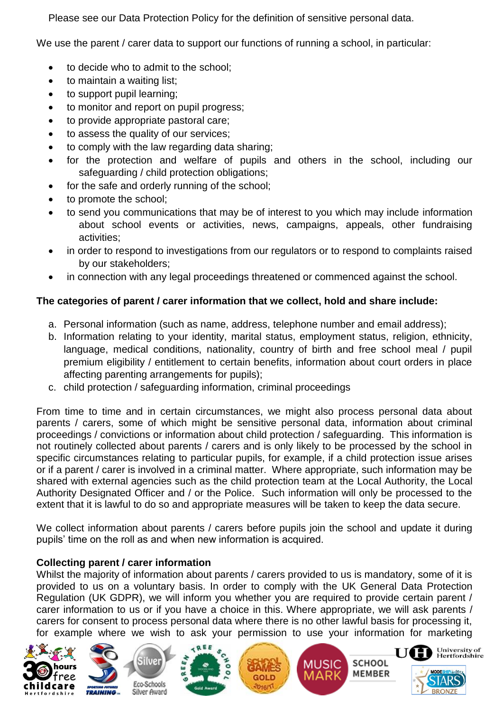Please see our Data Protection Policy for the definition of sensitive personal data.

We use the parent / carer data to support our functions of running a school, in particular:

- to decide who to admit to the school;
- to maintain a waiting list;
- to support pupil learning;
- to monitor and report on pupil progress;
- to provide appropriate pastoral care;
- to assess the quality of our services;
- to comply with the law regarding data sharing;
- for the protection and welfare of pupils and others in the school, including our safeguarding / child protection obligations;
- for the safe and orderly running of the school;
- to promote the school;
- to send you communications that may be of interest to you which may include information about school events or activities, news, campaigns, appeals, other fundraising activities;
- in order to respond to investigations from our regulators or to respond to complaints raised by our stakeholders;
- in connection with any legal proceedings threatened or commenced against the school.

## **The categories of parent / carer information that we collect, hold and share include:**

- a. Personal information (such as name, address, telephone number and email address);
- b. Information relating to your identity, marital status, employment status, religion, ethnicity, language, medical conditions, nationality, country of birth and free school meal / pupil premium eligibility / entitlement to certain benefits, information about court orders in place affecting parenting arrangements for pupils);
- c. child protection / safeguarding information, criminal proceedings

From time to time and in certain circumstances, we might also process personal data about parents / carers, some of which might be sensitive personal data, information about criminal proceedings / convictions or information about child protection / safeguarding. This information is not routinely collected about parents / carers and is only likely to be processed by the school in specific circumstances relating to particular pupils, for example, if a child protection issue arises or if a parent / carer is involved in a criminal matter. Where appropriate, such information may be shared with external agencies such as the child protection team at the Local Authority, the Local Authority Designated Officer and / or the Police. Such information will only be processed to the extent that it is lawful to do so and appropriate measures will be taken to keep the data secure.

We collect information about parents / carers before pupils join the school and update it during pupils' time on the roll as and when new information is acquired.

## **Collecting parent / carer information**

Whilst the majority of information about parents / carers provided to us is mandatory, some of it is provided to us on a voluntary basis. In order to comply with the UK General Data Protection Regulation (UK GDPR), we will inform you whether you are required to provide certain parent / carer information to us or if you have a choice in this. Where appropriate, we will ask parents / carers for consent to process personal data where there is no other lawful basis for processing it, for example where we wish to ask your permission to use your information for marketing











**SCHOOL** 

**MEMBER** 

University of<br>Hertfordshire

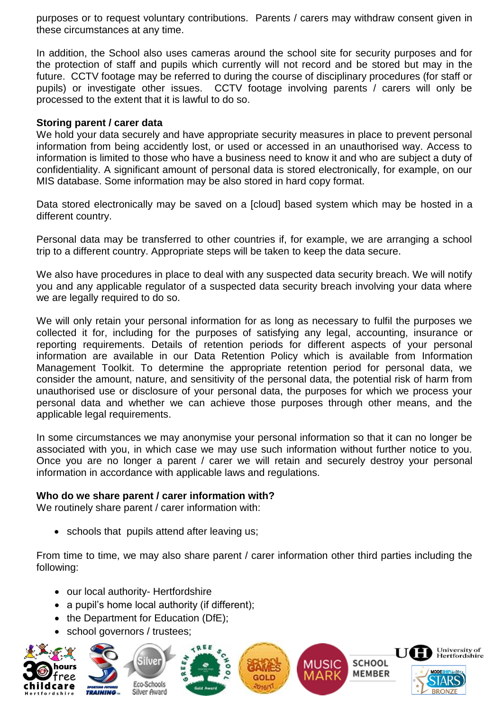purposes or to request voluntary contributions. Parents / carers may withdraw consent given in these circumstances at any time.

In addition, the School also uses cameras around the school site for security purposes and for the protection of staff and pupils which currently will not record and be stored but may in the future. CCTV footage may be referred to during the course of disciplinary procedures (for staff or pupils) or investigate other issues. CCTV footage involving parents / carers will only be processed to the extent that it is lawful to do so.

#### **Storing parent / carer data**

We hold your data securely and have appropriate security measures in place to prevent personal information from being accidently lost, or used or accessed in an unauthorised way. Access to information is limited to those who have a business need to know it and who are subject a duty of confidentiality. A significant amount of personal data is stored electronically, for example, on our MIS database. Some information may be also stored in hard copy format.

Data stored electronically may be saved on a [cloud] based system which may be hosted in a different country.

Personal data may be transferred to other countries if, for example, we are arranging a school trip to a different country. Appropriate steps will be taken to keep the data secure.

We also have procedures in place to deal with any suspected data security breach. We will notify you and any applicable regulator of a suspected data security breach involving your data where we are legally required to do so.

We will only retain your personal information for as long as necessary to fulfil the purposes we collected it for, including for the purposes of satisfying any legal, accounting, insurance or reporting requirements. Details of retention periods for different aspects of your personal information are available in our Data Retention Policy which is available from Information Management Toolkit. To determine the appropriate retention period for personal data, we consider the amount, nature, and sensitivity of the personal data, the potential risk of harm from unauthorised use or disclosure of your personal data, the purposes for which we process your personal data and whether we can achieve those purposes through other means, and the applicable legal requirements.

In some circumstances we may anonymise your personal information so that it can no longer be associated with you, in which case we may use such information without further notice to you. Once you are no longer a parent / carer we will retain and securely destroy your personal information in accordance with applicable laws and regulations.

#### **Who do we share parent / carer information with?**

We routinely share parent / carer information with:

• schools that pupils attend after leaving us;

From time to time, we may also share parent / carer information other third parties including the following:

- our local authority- Hertfordshire
- a pupil's home local authority (if different);
- the Department for Education (DfE);
- school governors / trustees;









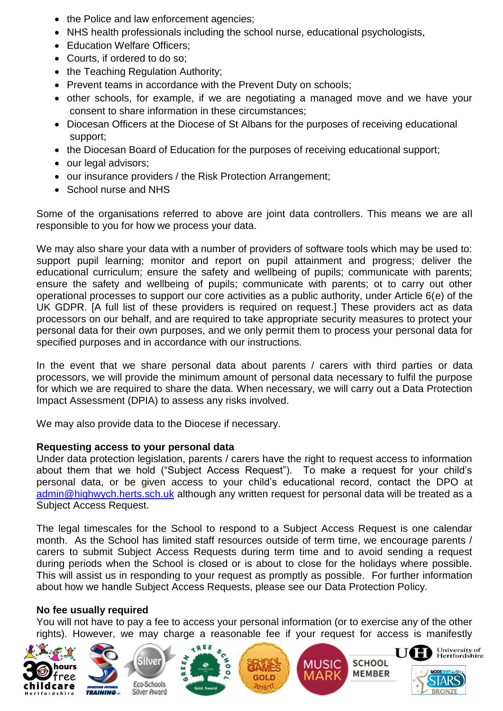- the Police and law enforcement agencies;
- NHS health professionals including the school nurse, educational psychologists,
- Education Welfare Officers:
- Courts, if ordered to do so;
- the Teaching Regulation Authority;
- Prevent teams in accordance with the Prevent Duty on schools;
- other schools, for example, if we are negotiating a managed move and we have your consent to share information in these circumstances;
- Diocesan Officers at the Diocese of St Albans for the purposes of receiving educational support;
- the Diocesan Board of Education for the purposes of receiving educational support;
- our legal advisors;
- our insurance providers / the Risk Protection Arrangement;
- School nurse and NHS

Some of the organisations referred to above are joint data controllers. This means we are all responsible to you for how we process your data.

We may also share your data with a number of providers of software tools which may be used to: support pupil learning; monitor and report on pupil attainment and progress; deliver the educational curriculum; ensure the safety and wellbeing of pupils; communicate with parents; ensure the safety and wellbeing of pupils; communicate with parents; ot to carry out other operational processes to support our core activities as a public authority, under Article 6(e) of the UK GDPR. [A full list of these providers is required on request.] These providers act as data processors on our behalf, and are required to take appropriate security measures to protect your personal data for their own purposes, and we only permit them to process your personal data for specified purposes and in accordance with our instructions.

In the event that we share personal data about parents / carers with third parties or data processors, we will provide the minimum amount of personal data necessary to fulfil the purpose for which we are required to share the data. When necessary, we will carry out a Data Protection Impact Assessment (DPIA) to assess any risks involved.

We may also provide data to the Diocese if necessary.

### **Requesting access to your personal data**

Under data protection legislation, parents / carers have the right to request access to information about them that we hold ("Subject Access Request"). To make a request for your child's personal data, or be given access to your child's educational record, contact the DPO at [admin@highwych.herts.sch.uk](mailto:admin@highwych.herts.sch.uk) although any written request for personal data will be treated as a Subject Access Request.

The legal timescales for the School to respond to a Subject Access Request is one calendar month. As the School has limited staff resources outside of term time, we encourage parents / carers to submit Subject Access Requests during term time and to avoid sending a request during periods when the School is closed or is about to close for the holidays where possible. This will assist us in responding to your request as promptly as possible. For further information about how we handle Subject Access Requests, please see our Data Protection Policy.

### **No fee usually required**

You will not have to pay a fee to access your personal information (or to exercise any of the other rights). However, we may charge a reasonable fee if your request for access is manifestly









**MUSIC** 

**SCHOOL** 

**MEMBER**